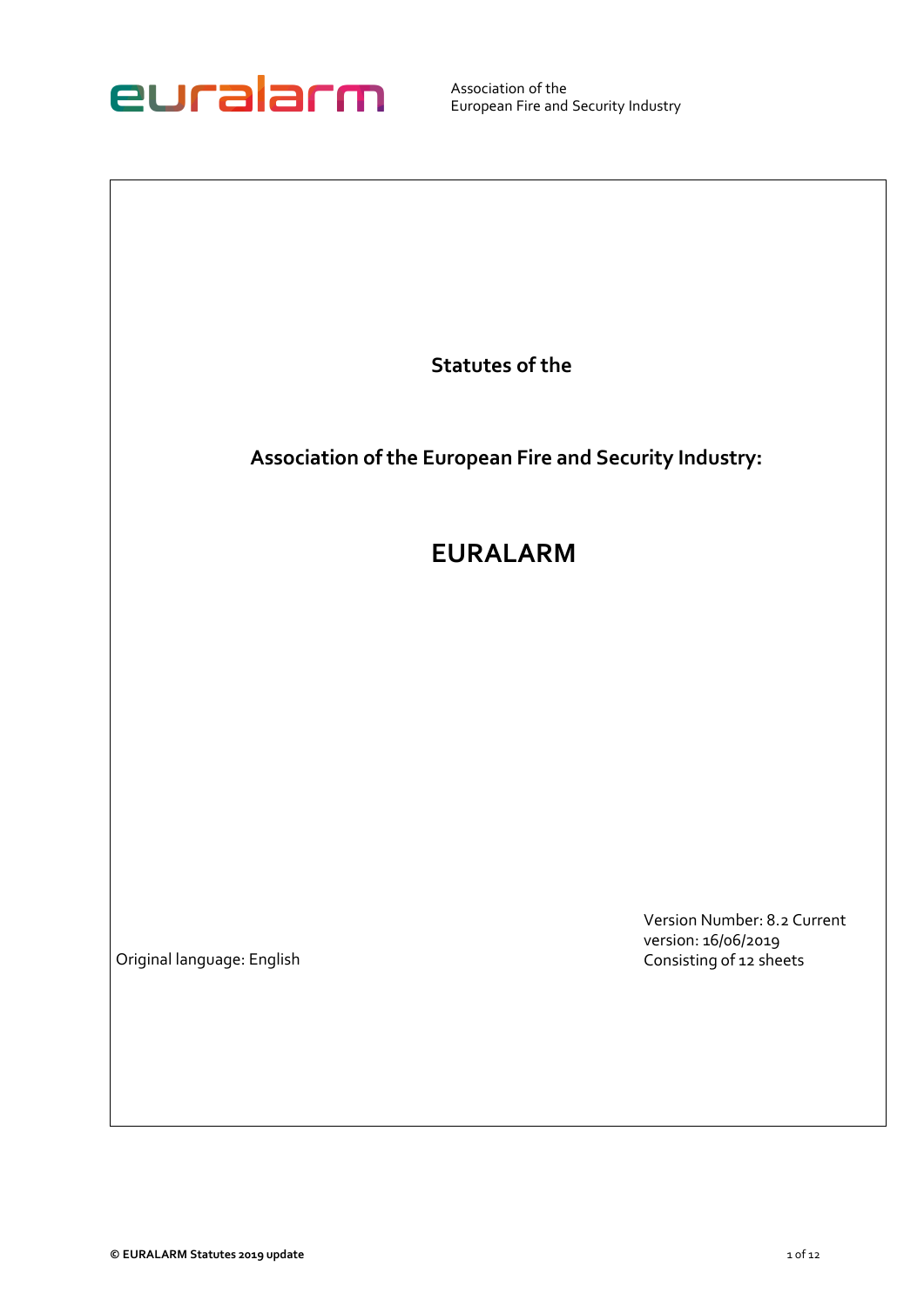

**Statutes of the** 

**Association of the European Fire and Security Industry:** 

# **EURALARM**

Original language: English

Version Number: 8.2 Current version: 16/06/2019 Consisting of 12 sheets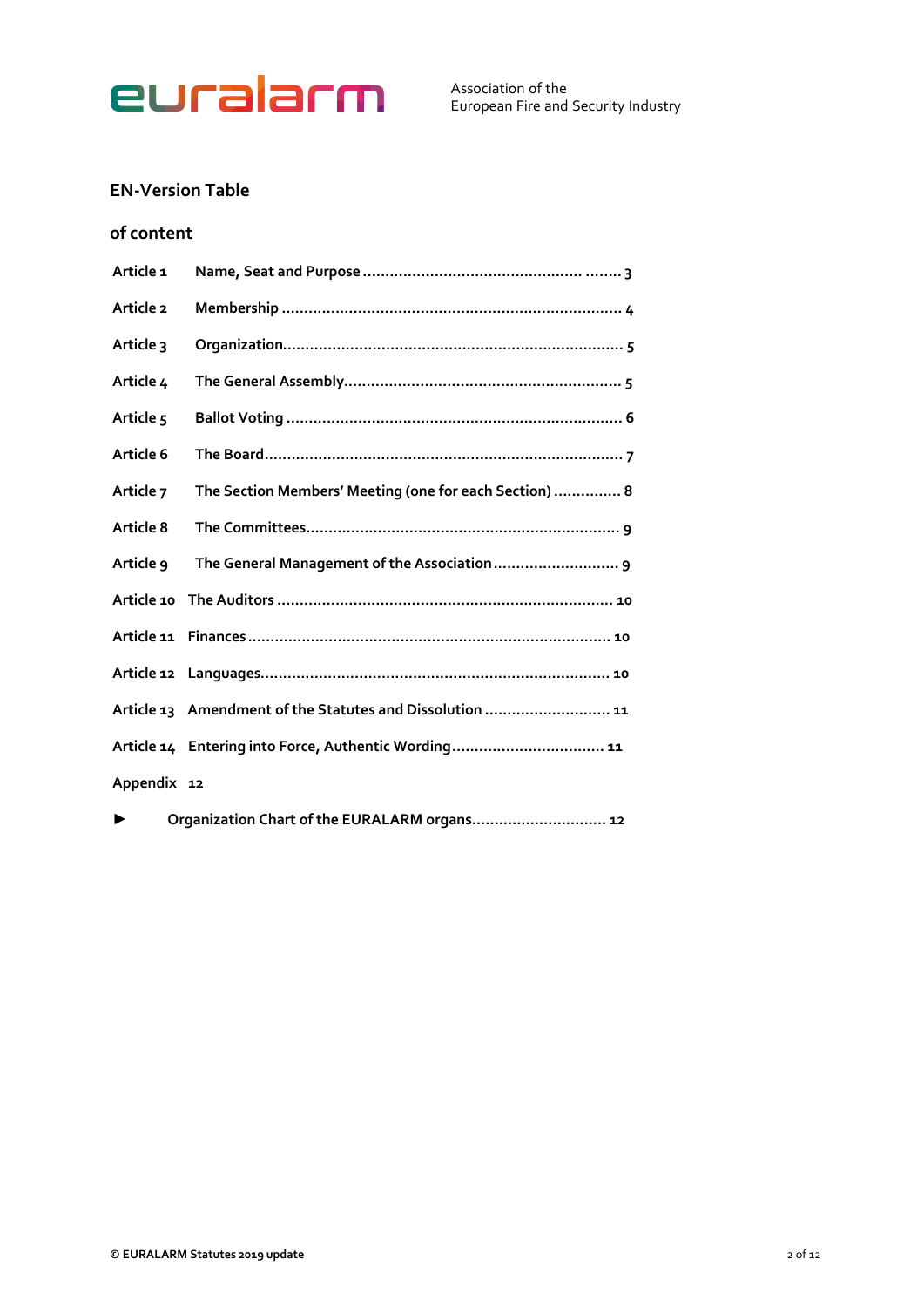

# **EN-Version Table**

# **of content**

| Article <sub>1</sub> |                                                          |
|----------------------|----------------------------------------------------------|
| Article 2            |                                                          |
| Article 3            |                                                          |
| Article 4            |                                                          |
| Article <sub>5</sub> |                                                          |
| Article 6            |                                                          |
| Article 7            | The Section Members' Meeting (one for each Section)  8   |
| Article 8            |                                                          |
| Article 9            |                                                          |
|                      |                                                          |
|                      |                                                          |
|                      |                                                          |
|                      | Article 13 Amendment of the Statutes and Dissolution  11 |
|                      | Article 14 Entering into Force, Authentic Wording 11     |
| Appendix 12          |                                                          |
|                      | Organization Chart of the EURALARM organs 12             |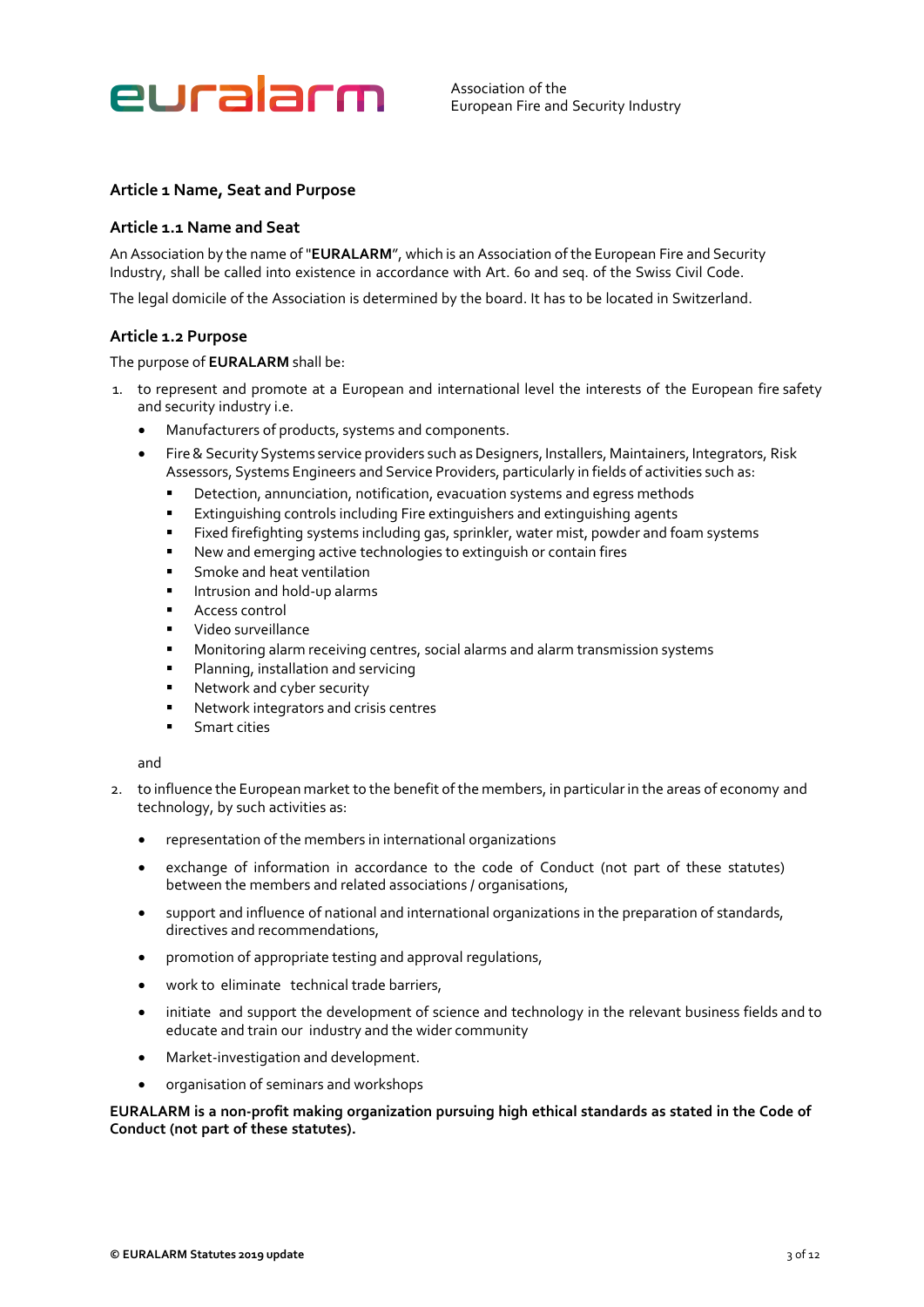

# <span id="page-2-0"></span>**Article 1 Name, Seat and Purpose**

# **Article 1.1 Name and Seat**

An Association by the name of "**EURALARM**", which is an Association of the European Fire and Security Industry, shall be called into existence in accordance with Art. 60 and seq. of the Swiss Civil Code.

The legal domicile of the Association is determined by the board. It has to be located in Switzerland.

# **Article 1.2 Purpose**

#### The purpose of **EURALARM** shall be:

- 1. to represent and promote at a European and international level the interests of the European fire safety and security industry i.e.
	- Manufacturers of products, systems and components.
	- Fire & Security Systems service providers such as Designers, Installers, Maintainers, Integrators, Risk Assessors, Systems Engineers and Service Providers, particularly in fields of activities such as:
		- Detection, annunciation, notification, evacuation systems and egress methods
		- **Extinguishing controls including Fire extinguishers and extinguishing agents**
		- Fixed firefighting systems including gas, sprinkler, water mist, powder and foam systems
		- New and emerging active technologies to extinguish or contain fires
		- Smoke and heat ventilation
		- Intrusion and hold-up alarms
		- Access control
		- Video surveillance
		- **■** Monitoring alarm receiving centres, social alarms and alarm transmission systems
		- Planning, installation and servicing
		- Network and cyber security
		- Network integrators and crisis centres
		- **■** Smart cities

#### and

- 2. to influence the European market to the benefit of the members, in particular in the areas of economy and technology, by such activities as:
	- representation of the members in international organizations
	- exchange of information in accordance to the code of Conduct (not part of these statutes) between the members and related associations / organisations,
	- support and influence of national and international organizations in the preparation of standards, directives and recommendations,
	- promotion of appropriate testing and approval regulations,
	- work to eliminate technical trade barriers,
	- initiate and support the development of science and technology in the relevant business fields and to educate and train our industry and the wider community
	- Market-investigation and development.
	- organisation of seminars and workshops

**EURALARM is a non-profit making organization pursuing high ethical standards as stated in the Code of Conduct (not part of these statutes).**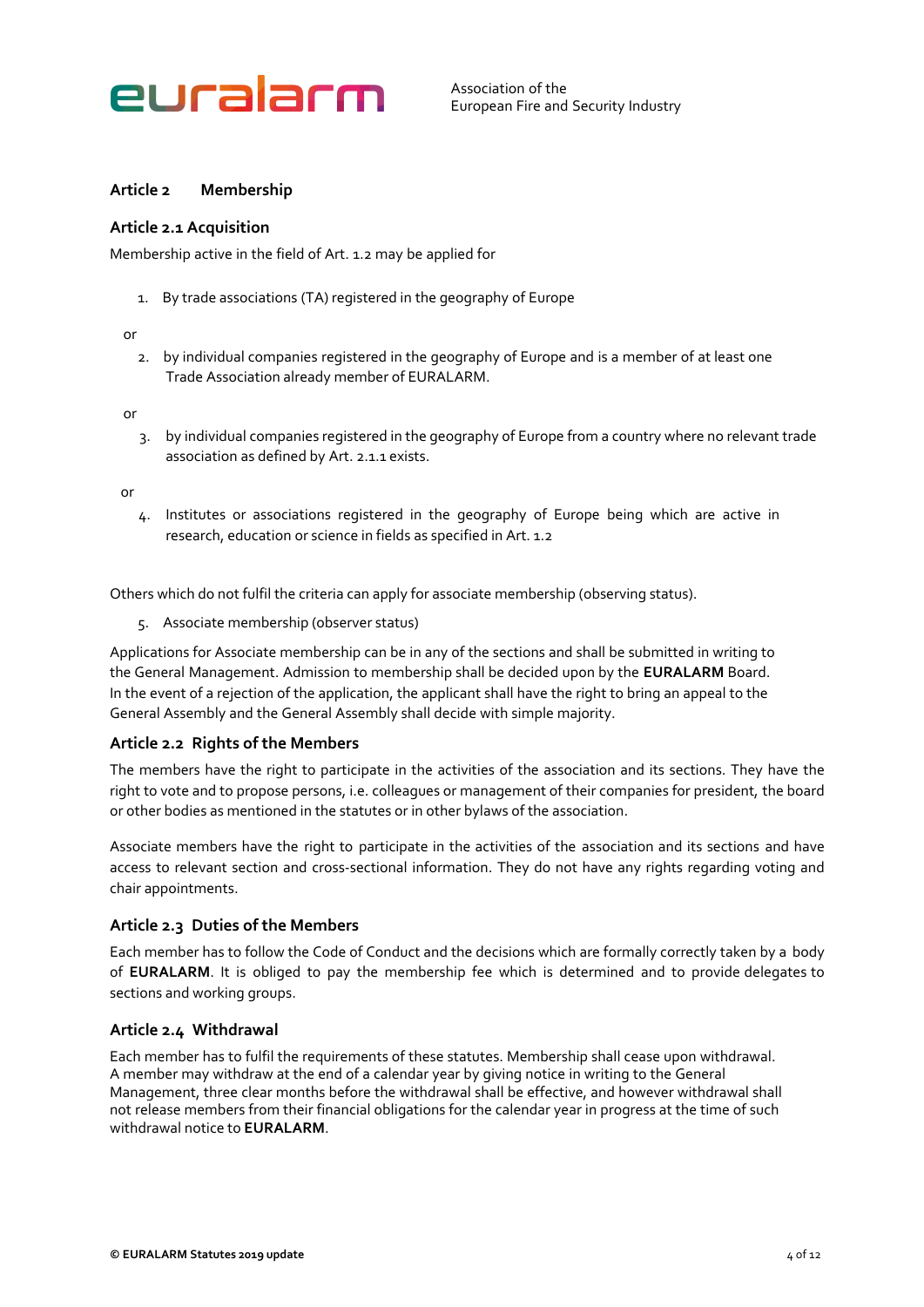

# <span id="page-3-0"></span>**Article 2 Membership**

# **Article 2.1 Acquisition**

Membership active in the field of Art. 1.2 may be applied for

1. By trade associations (TA) registered in the geography of Europe

#### or

2. by individual companies registered in the geography of Europe and is a member of at least one Trade Association already member of EURALARM.

or

3. by individual companies registered in the geography of Europe from a country where no relevant trade association as defined by Art. 2.1.1 exists.

or

4. Institutes or associations registered in the geography of Europe being which are active in research, education or science in fields as specified in Art. 1.2

Others which do not fulfil the criteria can apply for associate membership (observing status).

5. Associate membership (observer status)

Applications for Associate membership can be in any of the sections and shall be submitted in writing to the General Management. Admission to membership shall be decided upon by the **EURALARM** Board. In the event of a rejection of the application, the applicant shall have the right to bring an appeal to the General Assembly and the General Assembly shall decide with simple majority.

# **Article 2.2 Rights of the Members**

The members have the right to participate in the activities of the association and its sections. They have the right to vote and to propose persons, i.e. colleagues or management of their companies for president, the board or other bodies as mentioned in the statutes or in other bylaws of the association.

Associate members have the right to participate in the activities of the association and its sections and have access to relevant section and cross-sectional information. They do not have any rights regarding voting and chair appointments.

# **Article 2.3 Duties of the Members**

Each member has to follow the Code of Conduct and the decisions which are formally correctly taken by a body of **EURALARM**. It is obliged to pay the membership fee which is determined and to provide delegates to sections and working groups.

# **Article 2.4 Withdrawal**

Each member has to fulfil the requirements of these statutes. Membership shall cease upon withdrawal. A member may withdraw at the end of a calendar year by giving notice in writing to the General Management, three clear months before the withdrawal shall be effective, and however withdrawal shall not release members from their financial obligations for the calendar year in progress at the time of such withdrawal notice to **EURALARM**.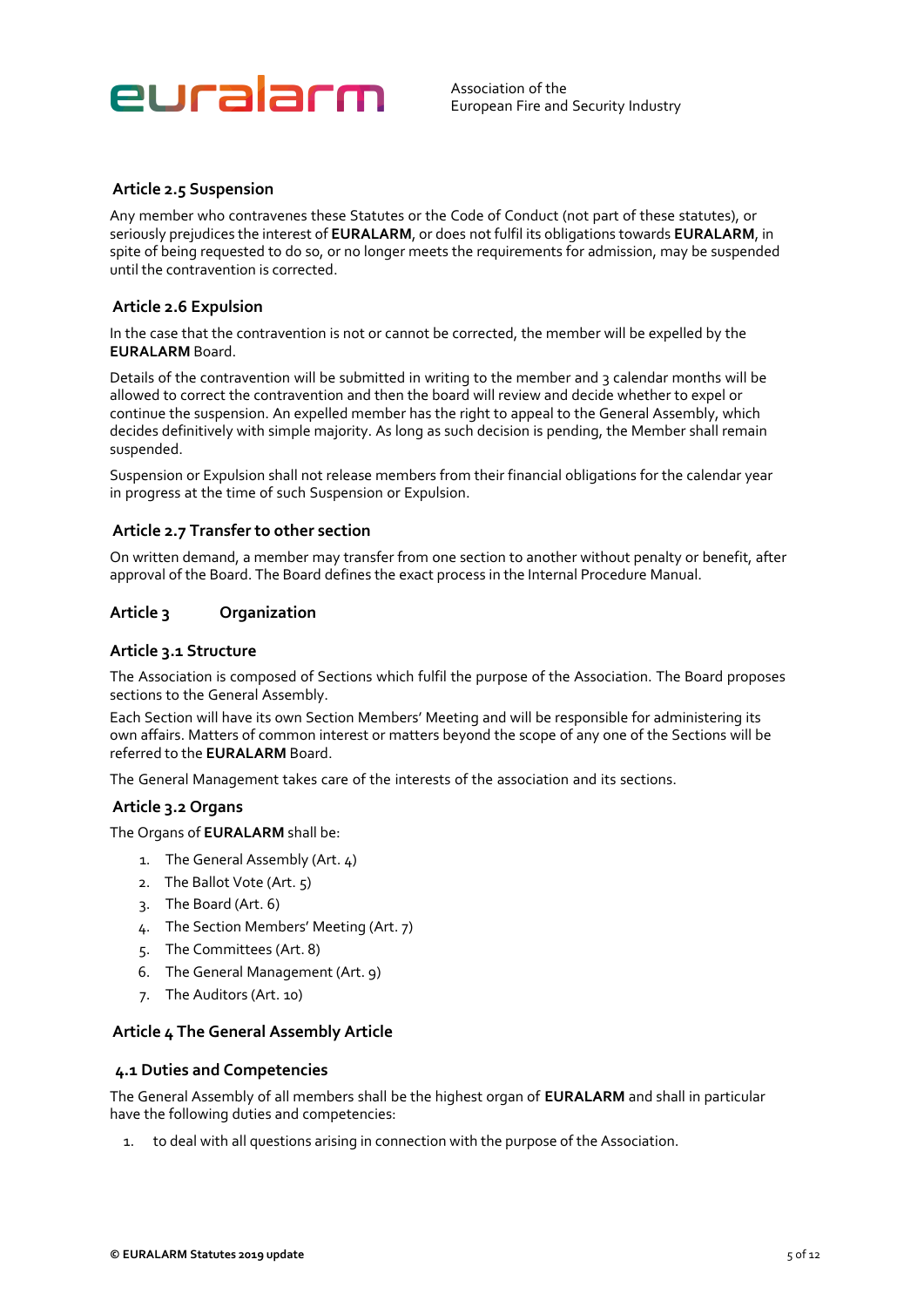

### **Article 2.5 Suspension**

Any member who contravenes these Statutes or the Code of Conduct (not part of these statutes), or seriously prejudices the interest of **EURALARM**, or does not fulfil its obligations towards **EURALARM**, in spite of being requested to do so, or no longer meets the requirements for admission, may be suspended until the contravention is corrected.

#### **Article 2.6 Expulsion**

In the case that the contravention is not or cannot be corrected, the member will be expelled by the **EURALARM** Board.

Details of the contravention will be submitted in writing to the member and 3 calendar months will be allowed to correct the contravention and then the board will review and decide whether to expel or continue the suspension. An expelled member has the right to appeal to the General Assembly, which decides definitively with simple majority. As long as such decision is pending, the Member shall remain suspended.

Suspension or Expulsion shall not release members from their financial obligations for the calendar year in progress at the time of such Suspension or Expulsion.

#### **Article 2.7 Transfer to other section**

On written demand, a member may transfer from one section to another without penalty or benefit, after approval of the Board. The Board defines the exact process in the Internal Procedure Manual.

#### <span id="page-4-0"></span>**Article 3 Organization**

#### **Article 3.1 Structure**

The Association is composed of Sections which fulfil the purpose of the Association. The Board proposes sections to the General Assembly.

Each Section will have its own Section Members' Meeting and will be responsible for administering its own affairs. Matters of common interest or matters beyond the scope of any one of the Sections will be referred to the **EURALARM** Board.

The General Management takes care of the interests of the association and its sections.

#### **Article 3.2 Organs**

The Organs of **EURALARM** shall be:

- 1. The General Assembly (Art. 4)
- 2. The Ballot Vote (Art. 5)
- 3. The Board (Art. 6)
- 4. The Section Members' Meeting (Art. 7)
- 5. The Committees (Art. 8)
- 6. The General Management (Art. 9)
- 7. The Auditors (Art. 10)

#### <span id="page-4-1"></span>**Article 4 The General Assembly Article**

#### **4.1 Duties and Competencies**

The General Assembly of all members shall be the highest organ of **EURALARM** and shall in particular have the following duties and competencies:

1. to deal with all questions arising in connection with the purpose of the Association.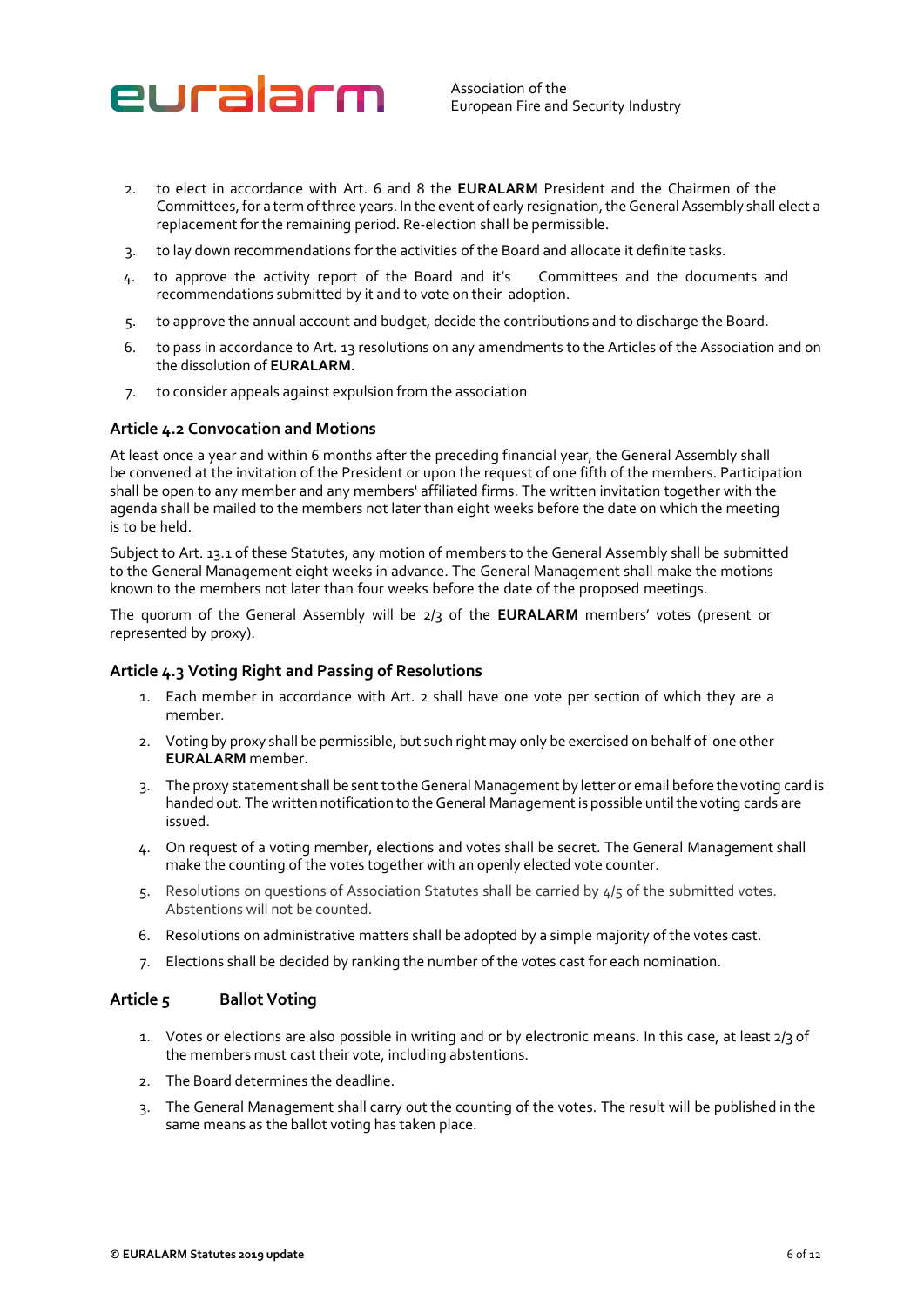

- 2. to elect in accordance with Art. 6 and 8 the **EURALARM** President and the Chairmen of the Committees, for a term of three years. In the event of early resignation, the General Assembly shall elect a replacement for the remaining period. Re-election shall be permissible.
- 3. to lay down recommendations for the activities of the Board and allocate it definite tasks.
- 4. to approve the activity report of the Board and it's Committees and the documents and recommendations submitted by it and to vote on their adoption.
- 5. to approve the annual account and budget, decide the contributions and to discharge the Board.
- 6. to pass in accordance to Art. 13 resolutions on any amendments to the Articles of the Association and on the dissolution of **EURALARM**.
- 7. to consider appeals against expulsion from the association

#### **Article 4.2 Convocation and Motions**

At least once a year and within 6 months after the preceding financial year, the General Assembly shall be convened at the invitation of the President or upon the request of one fifth of the members. Participation shall be open to any member and any members' affiliated firms. The written invitation together with the agenda shall be mailed to the members not later than eight weeks before the date on which the meeting is to be held.

Subject to Art. 13.1 of these Statutes, any motion of members to the General Assembly shall be submitted to the General Management eight weeks in advance. The General Management shall make the motions known to the members not later than four weeks before the date of the proposed meetings.

The quorum of the General Assembly will be 2/3 of the **EURALARM** members' votes (present or represented by proxy).

#### **Article 4.3 Voting Right and Passing of Resolutions**

- 1. Each member in accordance with Art. 2 shall have one vote per section of which they are a member.
- 2. Voting by proxy shall be permissible, but such right may only be exercised on behalf of one other **EURALARM** member.
- 3. The proxy statement shall be sent to the General Management by letter or email before the voting card is handed out. The written notification to the General Management is possible until the voting cards are issued.
- 4. On request of a voting member, elections and votes shall be secret. The General Management shall make the counting of the votes together with an openly elected vote counter.
- 5. Resolutions on questions of Association Statutes shall be carried by 4/5 of the submitted votes. Abstentions will not be counted.
- 6. Resolutions on administrative matters shall be adopted by a simple majority of the votes cast.
- 7. Elections shall be decided by ranking the number of the votes cast for each nomination.

#### <span id="page-5-0"></span>**Article 5 Ballot Voting**

- 1. Votes or elections are also possible in writing and or by electronic means. In this case, at least 2/3 of the members must cast their vote, including abstentions.
- 2. The Board determines the deadline.
- 3. The General Management shall carry out the counting of the votes. The result will be published in the same means as the ballot voting has taken place.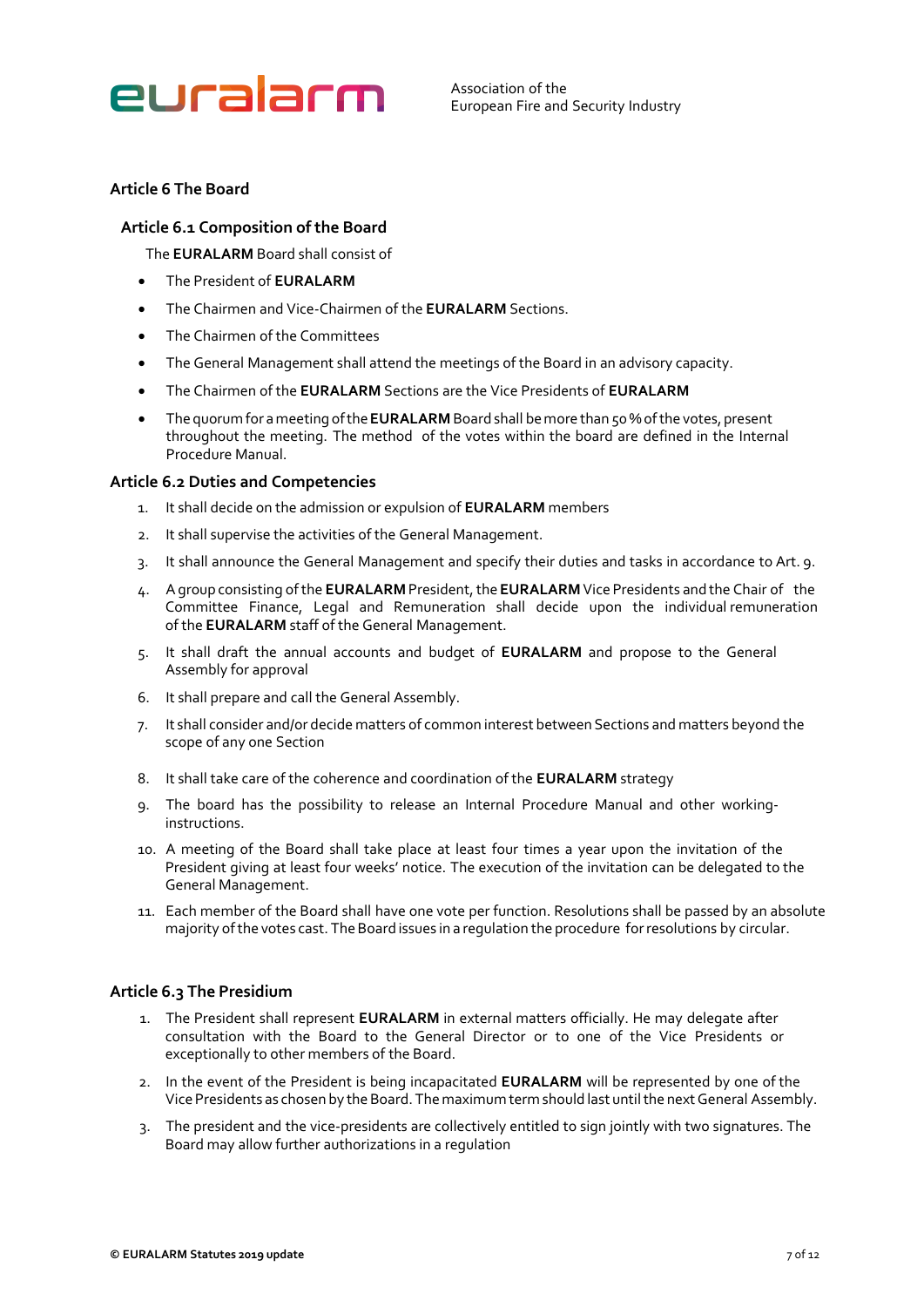

# <span id="page-6-0"></span>**Article 6 The Board**

#### **Article 6.1 Composition of the Board**

The **EURALARM** Board shall consist of

- The President of **EURALARM**
- The Chairmen and Vice-Chairmen of the **EURALARM** Sections.
- The Chairmen of the Committees
- The General Management shall attend the meetings of the Board in an advisory capacity.
- The Chairmen of the **EURALARM** Sections are the Vice Presidents of **EURALARM**
- The quorum for a meeting of the **EURALARM** Board shall be more than 50 % of the votes, present throughout the meeting. The method of the votes within the board are defined in the Internal Procedure Manual.

#### **Article 6.2 Duties and Competencies**

- 1. It shall decide on the admission or expulsion of **EURALARM** members
- 2. It shall supervise the activities of the General Management.
- 3. It shall announce the General Management and specify their duties and tasks in accordance to Art. 9.
- 4. A group consisting of the **EURALARM** President, the **EURALARM** Vice Presidents and the Chair of the Committee Finance, Legal and Remuneration shall decide upon the individual remuneration of the **EURALARM** staff of the General Management.
- 5. It shall draft the annual accounts and budget of **EURALARM** and propose to the General Assembly for approval
- 6. It shall prepare and call the General Assembly.
- 7. It shall consider and/or decide matters of common interest between Sections and matters beyond the scope of any one Section
- 8. It shall take care of the coherence and coordination of the **EURALARM** strategy
- 9. The board has the possibility to release an Internal Procedure Manual and other workinginstructions.
- 10. A meeting of the Board shall take place at least four times a year upon the invitation of the President giving at least four weeks' notice. The execution of the invitation can be delegated to the General Management.
- 11. Each member of the Board shall have one vote per function. Resolutions shall be passed by an absolute majority of the votes cast. The Board issues in a regulation the procedure for resolutions by circular.

# **Article 6.3 The Presidium**

- 1. The President shall represent **EURALARM** in external matters officially. He may delegate after consultation with the Board to the General Director or to one of the Vice Presidents or exceptionally to other members of the Board.
- 2. In the event of the President is being incapacitated **EURALARM** will be represented by one of the Vice Presidents as chosen by the Board. The maximum term should last until the next General Assembly.
- 3. The president and the vice-presidents are collectively entitled to sign jointly with two signatures. The Board may allow further authorizations in a regulation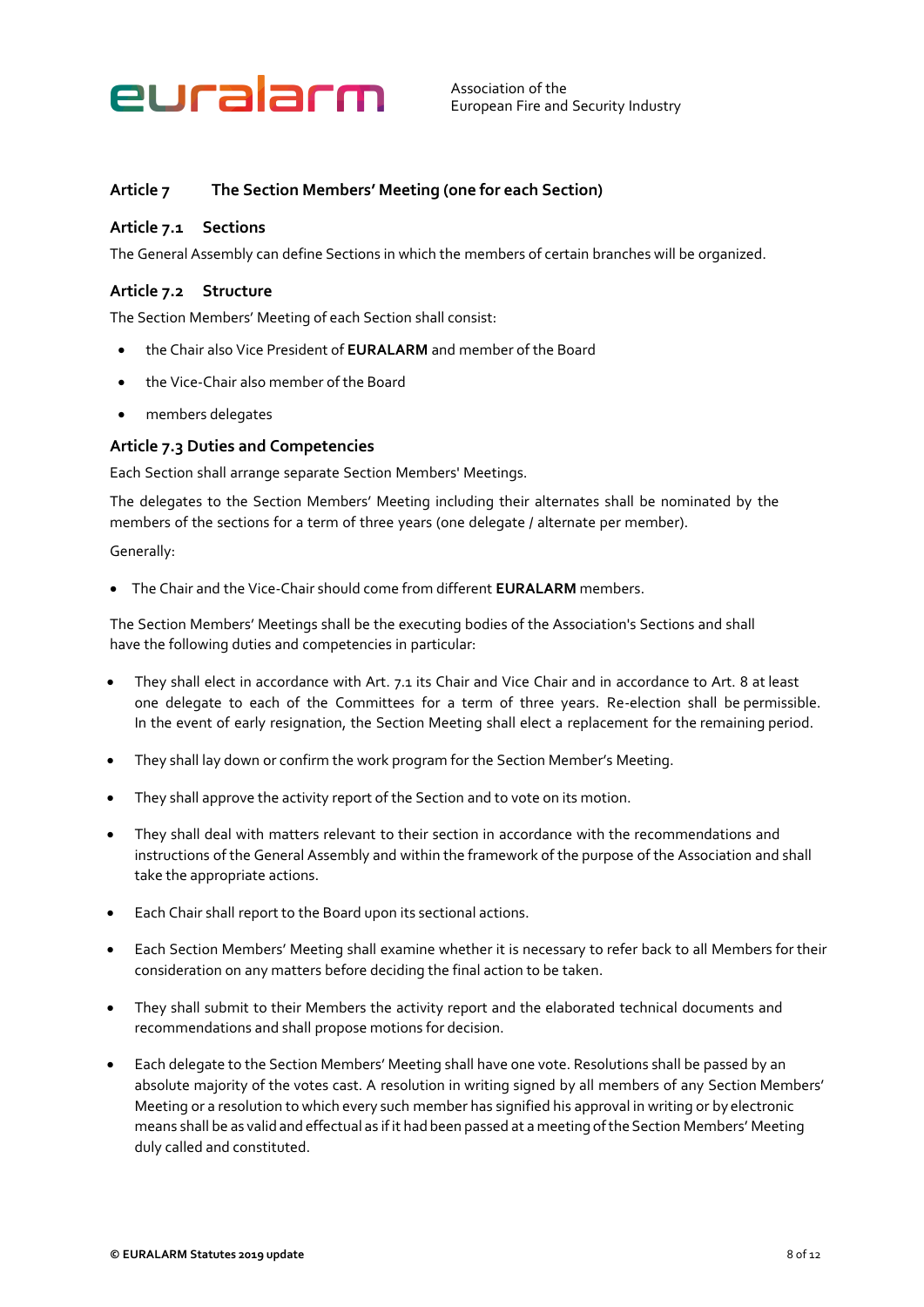

# <span id="page-7-0"></span>**Article 7 The Section Members' Meeting (one for each Section)**

### **Article 7.1 Sections**

The General Assembly can define Sections in which the members of certain branches will be organized.

### **Article 7.2 Structure**

The Section Members' Meeting of each Section shall consist:

- the Chair also Vice President of **EURALARM** and member of the Board
- the Vice-Chair also member of the Board
- members delegates

#### **Article 7.3 Duties and Competencies**

Each Section shall arrange separate Section Members' Meetings.

The delegates to the Section Members' Meeting including their alternates shall be nominated by the members of the sections for a term of three years (one delegate / alternate per member).

Generally:

• The Chair and the Vice-Chair should come from different **EURALARM** members.

The Section Members' Meetings shall be the executing bodies of the Association's Sections and shall have the following duties and competencies in particular:

- They shall elect in accordance with Art. 7.1 its Chair and Vice Chair and in accordance to Art. 8 at least one delegate to each of the Committees for a term of three years. Re-election shall be permissible. In the event of early resignation, the Section Meeting shall elect a replacement for the remaining period.
- They shall lay down or confirm the work program for the Section Member's Meeting.
- They shall approve the activity report of the Section and to vote on its motion.
- They shall deal with matters relevant to their section in accordance with the recommendations and instructions of the General Assembly and within the framework of the purpose of the Association and shall take the appropriate actions.
- Each Chair shall report to the Board upon its sectional actions.
- Each Section Members' Meeting shall examine whether it is necessary to refer back to all Members for their consideration on any matters before deciding the final action to be taken.
- They shall submit to their Members the activity report and the elaborated technical documents and recommendations and shall propose motions for decision.
- Each delegate to the Section Members' Meeting shall have one vote. Resolutions shall be passed by an absolute majority of the votes cast. A resolution in writing signed by all members of any Section Members' Meeting or a resolution to which every such member has signified his approval in writing or by electronic means shall be as valid and effectual as if it had been passed at a meeting of the Section Members' Meeting duly called and constituted.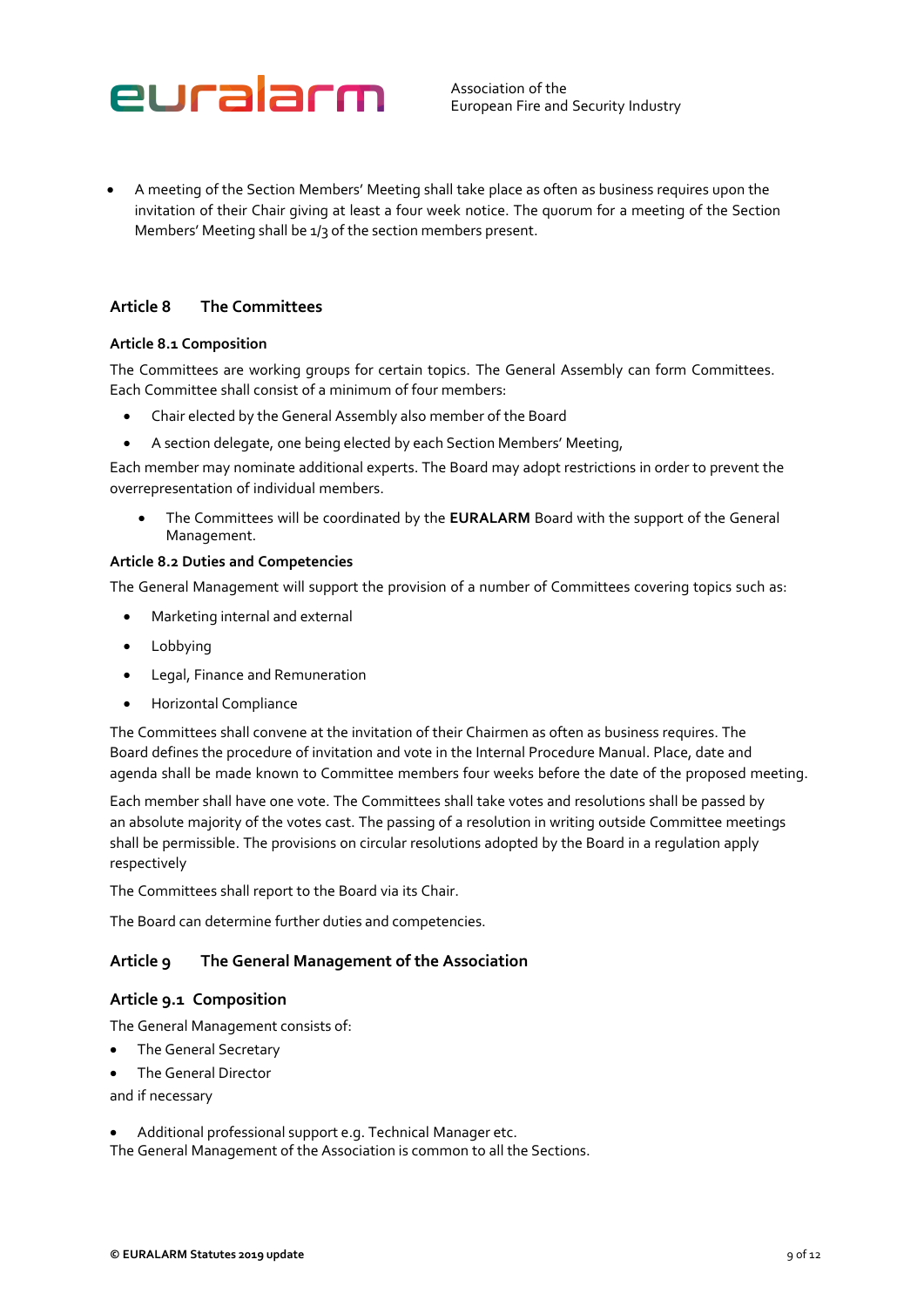

• A meeting of the Section Members' Meeting shall take place as often as business requires upon the invitation of their Chair giving at least a four week notice. The quorum for a meeting of the Section Members' Meeting shall be 1/3 of the section members present.

# <span id="page-8-0"></span>**Article 8 The Committees**

#### **Article 8.1 Composition**

The Committees are working groups for certain topics. The General Assembly can form Committees. Each Committee shall consist of a minimum of four members:

- Chair elected by the General Assembly also member of the Board
- A section delegate, one being elected by each Section Members' Meeting,

Each member may nominate additional experts. The Board may adopt restrictions in order to prevent the overrepresentation of individual members.

• The Committees will be coordinated by the **EURALARM** Board with the support of the General Management.

#### **Article 8.2 Duties and Competencies**

The General Management will support the provision of a number of Committees covering topics such as:

- Marketing internal and external
- Lobbying
- Legal, Finance and Remuneration
- Horizontal Compliance

The Committees shall convene at the invitation of their Chairmen as often as business requires. The Board defines the procedure of invitation and vote in the Internal Procedure Manual. Place, date and agenda shall be made known to Committee members four weeks before the date of the proposed meeting.

Each member shall have one vote. The Committees shall take votes and resolutions shall be passed by an absolute majority of the votes cast. The passing of a resolution in writing outside Committee meetings shall be permissible. The provisions on circular resolutions adopted by the Board in a regulation apply respectively

The Committees shall report to the Board via its Chair.

The Board can determine further duties and competencies.

# <span id="page-8-1"></span>**Article 9 The General Management of the Association**

# **Article 9.1 Composition**

The General Management consists of:

- The General Secretary
- The General Director

and if necessary

• Additional professional support e.g. Technical Manager etc.

The General Management of the Association is common to all the Sections.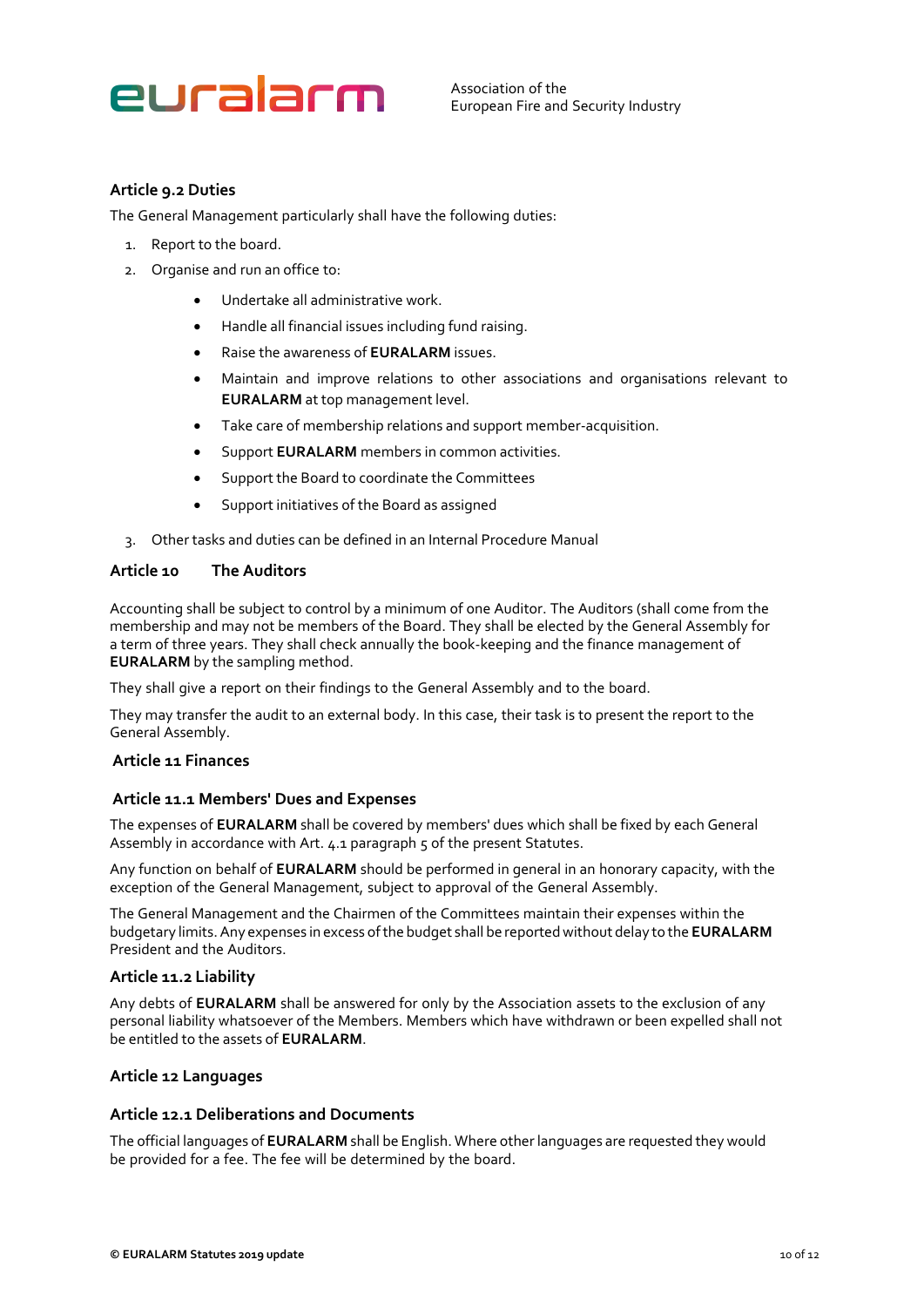# euralarm

Association of the European Fire and Security Industry

# **Article 9.2 Duties**

The General Management particularly shall have the following duties:

- 1. Report to the board.
- 2. Organise and run an office to:
	- Undertake all administrative work.
	- Handle all financial issues including fund raising.
	- Raise the awareness of **EURALARM** issues.
	- Maintain and improve relations to other associations and organisations relevant to **EURALARM** at top management level.
	- Take care of membership relations and support member-acquisition.
	- Support **EURALARM** members in common activities.
	- Support the Board to coordinate the Committees
	- Support initiatives of the Board as assigned
- 3. Other tasks and duties can be defined in an Internal Procedure Manual

#### <span id="page-9-0"></span>**Article 10 The Auditors**

Accounting shall be subject to control by a minimum of one Auditor. The Auditors (shall come from the membership and may not be members of the Board. They shall be elected by the General Assembly for a term of three years. They shall check annually the book-keeping and the finance management of **EURALARM** by the sampling method.

They shall give a report on their findings to the General Assembly and to the board.

They may transfer the audit to an external body. In this case, their task is to present the report to the General Assembly.

#### <span id="page-9-1"></span>**Article 11 Finances**

# **Article 11.1 Members' Dues and Expenses**

The expenses of **EURALARM** shall be covered by members' dues which shall be fixed by each General Assembly in accordance with Art. 4.1 paragraph 5 of the present Statutes.

Any function on behalf of **EURALARM** should be performed in general in an honorary capacity, with the exception of the General Management, subject to approval of the General Assembly.

The General Management and the Chairmen of the Committees maintain their expenses within the budgetary limits. Any expenses in excess of the budget shall be reported without delay to the **EURALARM** President and the Auditors.

#### **Article 11.2 Liability**

Any debts of **EURALARM** shall be answered for only by the Association assets to the exclusion of any personal liability whatsoever of the Members. Members which have withdrawn or been expelled shall not be entitled to the assets of **EURALARM**.

# <span id="page-9-2"></span>**Article 12 Languages**

# **Article 12.1 Deliberations and Documents**

The official languages of **EURALARM** shall be English. Where other languages are requested they would be provided for a fee. The fee will be determined by the board.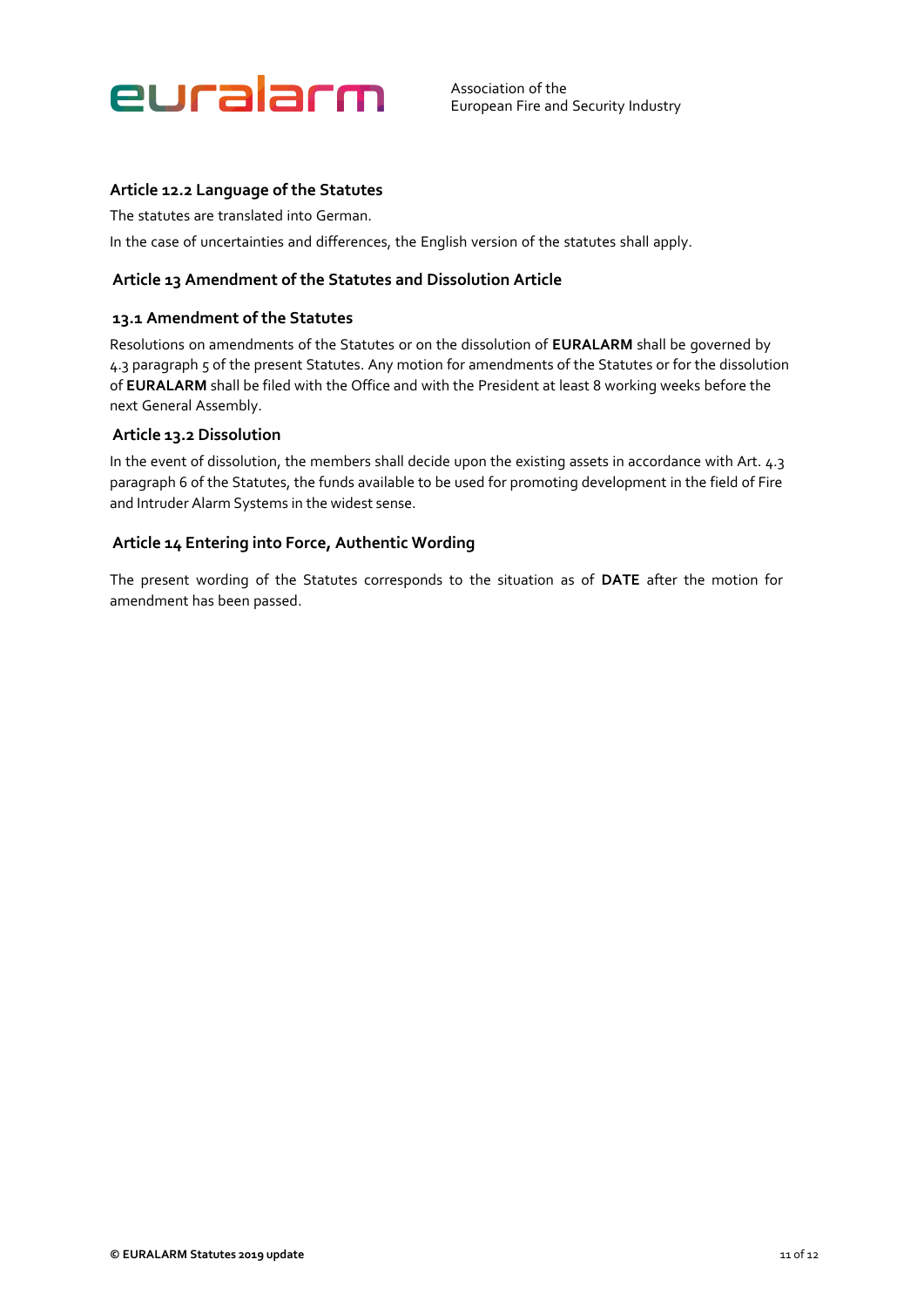

# **Article 12.2 Language of the Statutes**

The statutes are translated into German.

In the case of uncertainties and differences, the English version of the statutes shall apply.

### <span id="page-10-0"></span>**Article 13 Amendment of the Statutes and Dissolution Article**

#### **13.1 Amendment of the Statutes**

Resolutions on amendments of the Statutes or on the dissolution of **EURALARM** shall be governed by 4.3 paragraph 5 of the present Statutes. Any motion for amendments of the Statutes or for the dissolution of **EURALARM** shall be filed with the Office and with the President at least 8 working weeks before the next General Assembly.

### **Article 13.2 Dissolution**

In the event of dissolution, the members shall decide upon the existing assets in accordance with Art. 4.3 paragraph 6 of the Statutes, the funds available to be used for promoting development in the field of Fire and Intruder Alarm Systems in the widest sense.

#### <span id="page-10-1"></span>**Article 14 Entering into Force, Authentic Wording**

The present wording of the Statutes corresponds to the situation as of **DATE** after the motion for amendment has been passed.